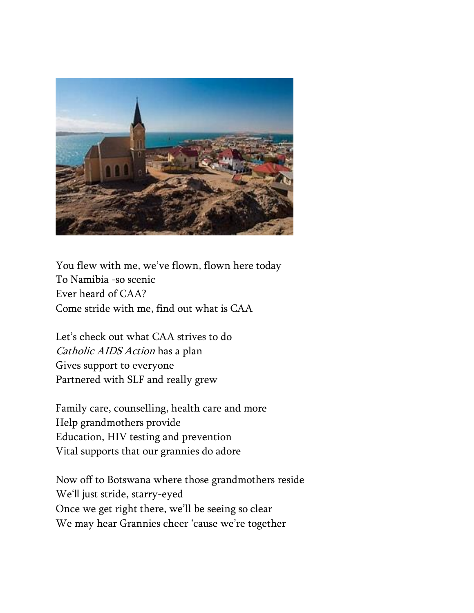

You flew with me, we've flown, flown here today To Namibia -so scenic Ever heard of CAA? Come stride with me, find out what is CAA

Let's check out what CAA strives to do Catholic AIDS Action has a plan Gives support to everyone Partnered with SLF and really grew

Family care, counselling, health care and more Help grandmothers provide Education, HIV testing and prevention Vital supports that our grannies do adore

Now off to Botswana where those grandmothers reside We'll just stride, starry-eyed Once we get right there, we'll be seeing so clear We may hear Grannies cheer 'cause we're together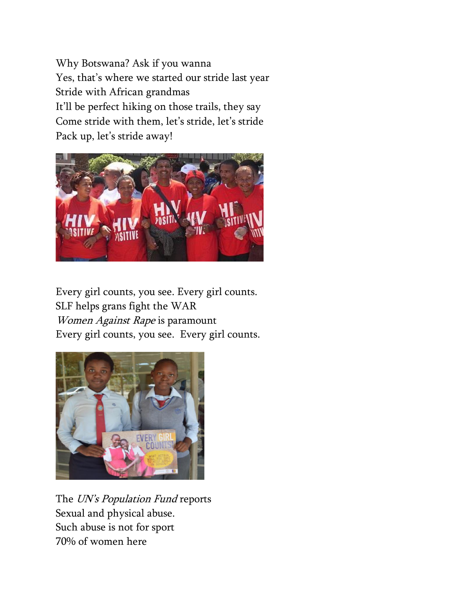Why Botswana? Ask if you wanna Yes, that's where we started our stride last year Stride with African grandmas It'll be perfect hiking on those trails, they say Come stride with them, let's stride, let's stride Pack up, let's stride away!



Every girl counts, you see. Every girl counts. SLF helps grans fight the WAR Women Against Rape is paramount Every girl counts, you see. Every girl counts.



The UN's Population Fund reports Sexual and physical abuse. Such abuse is not for sport 70% of women here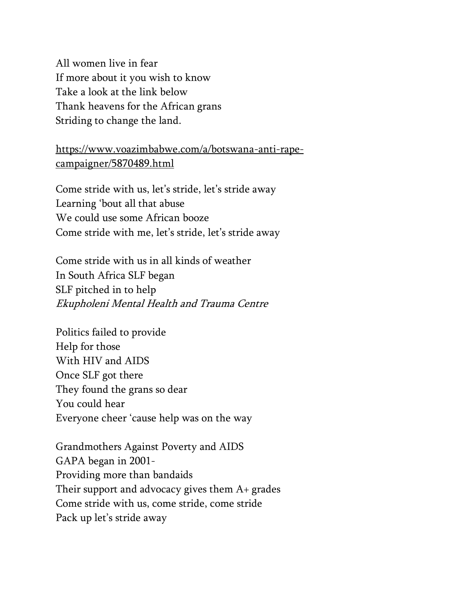All women live in fear If more about it you wish to know Take a look at the link below Thank heavens for the African grans Striding to change the land.

[https://www.voazimbabwe.com/a/botswana-anti-rape](https://www.voazimbabwe.com/a/botswana-anti-rape-campaigner/5870489.html)[campaigner/5870489.html](https://www.voazimbabwe.com/a/botswana-anti-rape-campaigner/5870489.html)

Come stride with us, let's stride, let's stride away Learning 'bout all that abuse We could use some African booze Come stride with me, let's stride, let's stride away

Come stride with us in all kinds of weather In South Africa SLF began SLF pitched in to help Ekupholeni Mental Health and Trauma Centre

Politics failed to provide Help for those With HIV and AIDS Once SLF got there They found the grans so dear You could hear Everyone cheer 'cause help was on the way

Grandmothers Against Poverty and AIDS GAPA began in 2001- Providing more than bandaids Their support and advocacy gives them A+ grades Come stride with us, come stride, come stride Pack up let's stride away